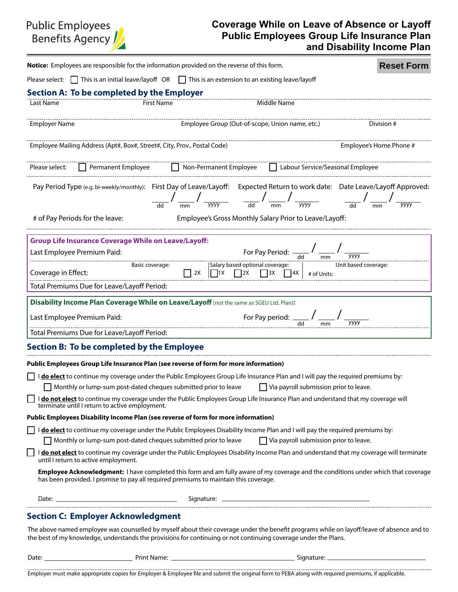# **Public Employees** Benefits Agency

### **Coverage While on Leave of Absence or Layoff Public Employees Group Life Insurance Plan and Disability Income Plan**

| Notice: Employees are responsible for the information provided on the reverse of this form.                                                                                                                                                               |                                                                           |                                                              | <b>Reset Form</b>       |
|-----------------------------------------------------------------------------------------------------------------------------------------------------------------------------------------------------------------------------------------------------------|---------------------------------------------------------------------------|--------------------------------------------------------------|-------------------------|
| Please select: $\Box$ This is an initial leave/layoff OR $\Box$ This is an extension to an existing leave/layoff                                                                                                                                          |                                                                           |                                                              |                         |
| <b>Section A: To be completed by the Employer</b>                                                                                                                                                                                                         |                                                                           |                                                              |                         |
| Last Name<br><b>First Name</b>                                                                                                                                                                                                                            |                                                                           | Middle Name                                                  |                         |
| <b>Employer Name</b>                                                                                                                                                                                                                                      | Employee Group (Out-of-scope, Union name, etc.)                           |                                                              | Division #              |
| Employee Mailing Address (Apt#, Box#, Street#, City, Prov., Postal Code)                                                                                                                                                                                  |                                                                           |                                                              | Employee's Home Phone # |
| Permanent Employee Represent Employee Represent Service/Seasonal Employee<br>Please select:                                                                                                                                                               |                                                                           |                                                              |                         |
| Pay Period Type (e.g. bi-weekly/monthly): First Day of Leave/Layoff: Expected Return to work date: Date Leave/Layoff Approved:                                                                                                                            | $\frac{1}{\frac{yyyy}{}}$ $\frac{1}{\frac{d}{d}}$ $\frac{1}{\frac{m}{d}}$ |                                                              |                         |
| # of Pay Periods for the leave:                                                                                                                                                                                                                           |                                                                           | Employee's Gross Monthly Salary Prior to Leave/Layoff:       |                         |
| <b>Group Life Insurance Coverage While on Leave/Layoff:</b>                                                                                                                                                                                               |                                                                           |                                                              |                         |
| Last Employee Premium Paid:                                                                                                                                                                                                                               |                                                                           | For Pay Period: $\frac{1}{\text{odd}}$ $\frac{1}{\text{mm}}$ | уууу                    |
| Coverage in Effect:                                                                                                                                                                                                                                       | Salary based optional coverage:<br>$\Box$ 2X<br>$\Box$ 1X<br>$\vert$ 2X   | 4X <br>$\vert$ 3X<br># of Units:                             | Unit based coverage:    |
| Total Premiums Due for Leave/Layoff Period:                                                                                                                                                                                                               |                                                                           |                                                              |                         |
| Disability Income Plan Coverage While on Leave/Layoff (not the same as SGEU Ltd. Plan):                                                                                                                                                                   |                                                                           |                                                              |                         |
| Last Employee Premium Paid:                                                                                                                                                                                                                               |                                                                           | For Pay period: $\frac{1}{\text{dd}}$                        |                         |
| Total Premiums Due for Leave/Layoff Period:                                                                                                                                                                                                               |                                                                           |                                                              |                         |
| Section B: To be completed by the Employee                                                                                                                                                                                                                |                                                                           |                                                              |                         |
| Public Employees Group Life Insurance Plan (see reverse of form for more information)                                                                                                                                                                     |                                                                           |                                                              |                         |
| I do elect to continue my coverage under the Public Employees Group Life Insurance Plan and I will pay the required premiums by:                                                                                                                          |                                                                           |                                                              |                         |
| Monthly or lump-sum post-dated cheques submitted prior to leave                                                                                                                                                                                           |                                                                           | $\Box$ Via payroll submission prior to leave.                |                         |
| I donot elect to continue my coverage under the Public Employees Group Life Insurance Plan and understand that my coverage will<br>terminate until I return to active employment.                                                                         |                                                                           |                                                              |                         |
| Public Employees Disability Income Plan (see reverse of form for more information)                                                                                                                                                                        |                                                                           |                                                              |                         |
| I do elect to continue my coverage under the Public Employees Disability Income Plan and I will pay the required premiums by:                                                                                                                             |                                                                           |                                                              |                         |
| $\Box$ Monthly or lump-sum post-dated cheques submitted prior to leave<br>I do not elect to continue my coverage under the Public Employees Disability Income Plan and understand that my coverage will terminate<br>until I return to active employment. |                                                                           | Via payroll submission prior to leave.                       |                         |
| Employee Acknowledgment: I have completed this form and am fully aware of my coverage and the conditions under which that coverage<br>has been provided. I promise to pay all required premiums to maintain this coverage.                                |                                                                           |                                                              |                         |
|                                                                                                                                                                                                                                                           |                                                                           |                                                              |                         |
| <b>Section C: Employer Acknowledgment</b>                                                                                                                                                                                                                 |                                                                           |                                                              |                         |
| The above named employee was counselled by myself about their coverage under the benefit programs while on layoff/leave of absence and to                                                                                                                 |                                                                           |                                                              |                         |

Oyee was counselled by myself about their coverage under the benefit programs while on l the best of my knowledge, understands the provisions for continuing or not continuing coverage under the Plans.

| Date:<br>Signature:<br>Print.<br>" ivame. |  |
|-------------------------------------------|--|
|                                           |  |
|                                           |  |

............. . . . . . . . . . . . . . . . . Employer must make appropriate copies for Employer & Employee file and submit the original form to PEBA along with required premiums, if applicable.